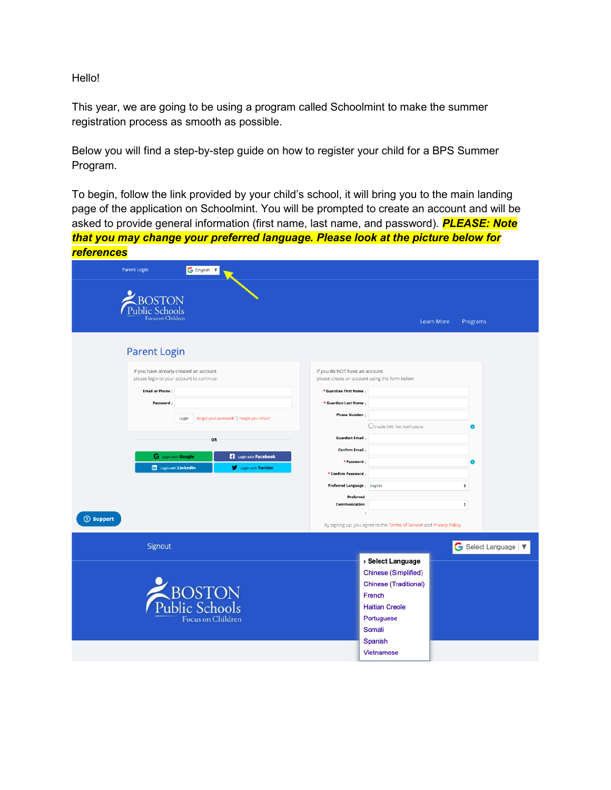Hello!

This year, we are going to be using a program called Schoolmint to make the summer registration process as smooth as possible.

Below you will find a step-by-step guide on how to register your child for a BPS Summer Program.

To begin, follow the link provided by your child's school, it will bring you to the main landing page of the application on Schoolmint. You will be prompted to create an account and will be asked to provide general information (first name, last name, and password). *PLEASE: Note that you may change your preferred language. Please look at the picture below for references*

| G English $\forall$<br>Parent Login                                                 |                                                                                 |
|-------------------------------------------------------------------------------------|---------------------------------------------------------------------------------|
| <b>BOSTON</b><br><b>Public Schools</b><br><b>Focus on Children</b>                  | Learn More<br>Programs                                                          |
| <b>Parent Login</b>                                                                 |                                                                                 |
| If you have already created an account<br>please login to your account to continue: | If you do NOT have an account<br>please create an account using the form below: |
| <b>Email or Phone:</b>                                                              | * Guardian First Name:                                                          |
| Password:                                                                           | * Guardian Last Name:                                                           |
| Forgot your password?   Forgot your email?<br>Login                                 | <b>Phone Number:</b>                                                            |
|                                                                                     | Enable SMS Text Notifications<br>$\bullet$                                      |
| OR                                                                                  | <b>Guardian Email:</b>                                                          |
| Login with Facebook<br>G Login with Google                                          | Confirm Email:                                                                  |
| <b>In</b> Login with LinkedIn<br>Login with Twitter                                 | * Password:<br>$\bullet$                                                        |
|                                                                                     | * Confirm Password :                                                            |
|                                                                                     | Preferred Language : English<br>$\overset{\bullet}{\mathbf{v}}$                 |
|                                                                                     | Preferred<br>Communication<br>$\hat{\mathbf{v}}$                                |
| <b>2</b> Support                                                                    | ÷                                                                               |
|                                                                                     | By signing up, you agree to the Terms of Service and Privacy Policy.            |
| Signout                                                                             | G Select Language   $\nabla$                                                    |
|                                                                                     | > Select Language                                                               |
|                                                                                     | <b>Chinese (Simplified)</b>                                                     |
|                                                                                     | <b>Chinese (Traditional)</b>                                                    |
|                                                                                     | French                                                                          |
| BOSTON<br>Public Schools                                                            | <b>Haitian Creole</b>                                                           |
| <b>Focus on Children</b>                                                            | Portuguese                                                                      |
|                                                                                     | Somali                                                                          |
|                                                                                     | Spanish                                                                         |
|                                                                                     | Vietnamese                                                                      |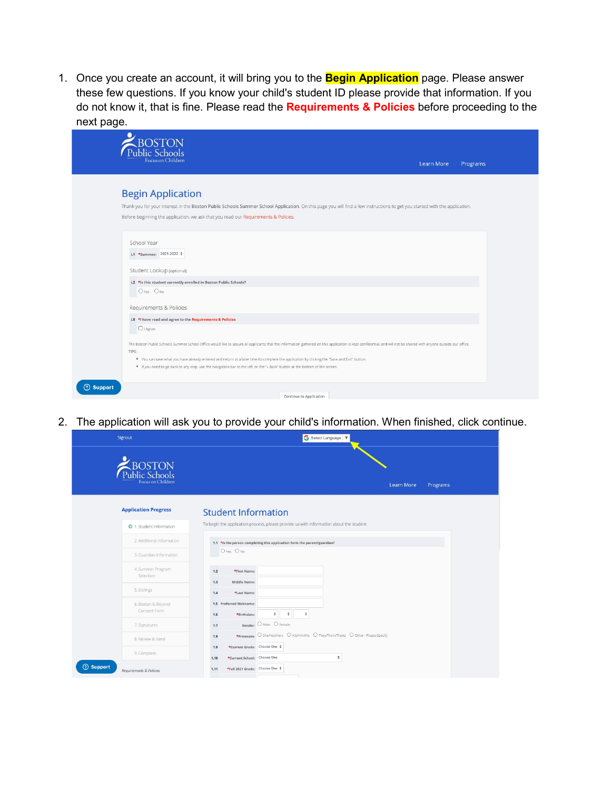1. Once you create an account, it will bring you to the **Begin Application** page. Please answer these few questions. If you know your child's student ID please provide that information. If you do not know it, that is fine. Please read the **Requirements & Policies** before proceeding to the next page.

| Focus on Children                                                                                                                                                                                                                                                            | Learn More                                                                                                                                                                                                        | Programs |
|------------------------------------------------------------------------------------------------------------------------------------------------------------------------------------------------------------------------------------------------------------------------------|-------------------------------------------------------------------------------------------------------------------------------------------------------------------------------------------------------------------|----------|
| <b>Begin Application</b>                                                                                                                                                                                                                                                     |                                                                                                                                                                                                                   |          |
|                                                                                                                                                                                                                                                                              | Thank you for your interest in the Boston Public Schools Summer School Application. On this page you will find a few instructions to get you started with the application.                                        |          |
| Before beginning the application, we ask that you read our Requirements & Policies.                                                                                                                                                                                          |                                                                                                                                                                                                                   |          |
|                                                                                                                                                                                                                                                                              |                                                                                                                                                                                                                   |          |
| School Year                                                                                                                                                                                                                                                                  |                                                                                                                                                                                                                   |          |
| i.1 *Summer: 2021-2022 ≑                                                                                                                                                                                                                                                     |                                                                                                                                                                                                                   |          |
| Student Lookup (optional)                                                                                                                                                                                                                                                    |                                                                                                                                                                                                                   |          |
| i.2 *Is this student currently enrolled in Boston Public Schools?                                                                                                                                                                                                            |                                                                                                                                                                                                                   |          |
| Oyes ONo                                                                                                                                                                                                                                                                     |                                                                                                                                                                                                                   |          |
| Requirements & Policies                                                                                                                                                                                                                                                      |                                                                                                                                                                                                                   |          |
| i.8 *I have read and agree to the Requirements & Policies                                                                                                                                                                                                                    |                                                                                                                                                                                                                   |          |
| $\Box$   Agree                                                                                                                                                                                                                                                               |                                                                                                                                                                                                                   |          |
|                                                                                                                                                                                                                                                                              | The Boston Public Schools Summer School Office would like to assure all applicants that the information gathered on this application is kept confidential, and will not be shared with anyone outside our office. |          |
| TIPS:                                                                                                                                                                                                                                                                        |                                                                                                                                                                                                                   |          |
| * You can save what you have already entered and return at a later time to complete the application by clicking the "Save and Exit" button.<br>. If you need to go back to any step, use the navigation bar to the left, or the "« Back" button at the bottom of the screen. |                                                                                                                                                                                                                   |          |

2. The application will ask you to provide your child's information. When finished, click continue.

| <b>BOSTON</b><br>Public Schools<br>Focus on Children | Learn More<br>Programs                                                                     |
|------------------------------------------------------|--------------------------------------------------------------------------------------------|
| <b>Application Progress</b>                          | <b>Student Information</b>                                                                 |
| <b>D</b> 1. Student Information                      | To begin the application process, please provide us with information about the student.    |
| 2. Additional Information                            | 1.1 *Is the person completing this application form the parent/guardian?                   |
| 3. Guardian Information                              | O Yes O No                                                                                 |
| 4. Summer Program<br>Selection                       | *First Name:<br>$1.2$                                                                      |
| 5. Siblings                                          | Middle Name:<br>1.3<br>1.4<br>*Last Name:                                                  |
| 6. Boston & Beyond                                   | 1.5 Preferred Nickname:                                                                    |
| Consent Form                                         | $\div$<br>$\div$<br>÷<br>*Birthdate:<br>1.6                                                |
| 7. Signatures                                        | Gender: O Male O Female<br>1.7                                                             |
| 8. Review & Send                                     | *Pronouns: O She/Her/Hers O He/Him/His O They/Them/Theirs O Other - Please Specify:<br>1.8 |
| 9. Complete                                          | *Current Grade: Choose One $\div$<br>1.9                                                   |
|                                                      | ÷<br>*Current School: Choose One<br>1.10                                                   |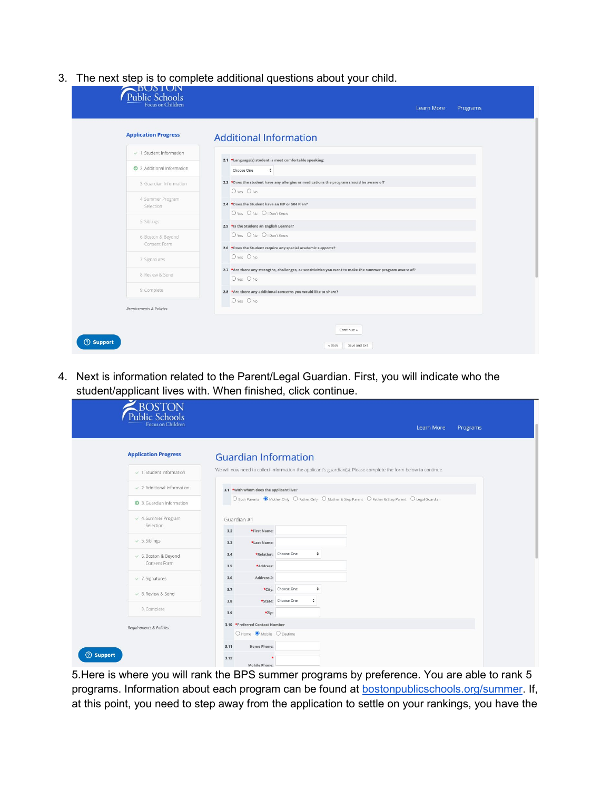3. The next step is to complete additional questions about your child.

| <b>Application Progress</b>    | <b>Additional Information</b>                                                                                          |
|--------------------------------|------------------------------------------------------------------------------------------------------------------------|
| $\vee$ 1. Student Information  |                                                                                                                        |
| 2. Additional Information      | 2.1 *Language(s) student is most comfortable speaking:<br>Choose One<br>÷                                              |
| 3. Guardian Information        | 2.2 *Does the student have any allergies or medications the program should be aware of?                                |
| 4. Summer Program<br>Selection | O Yes O No<br>2.4 *Does the Student have an IEP or 504 Plan?                                                           |
| 5. Siblings                    | O Yes O No O I Don't Know                                                                                              |
| 6. Boston & Beyond             | 2.5 * Is the Student an English Learner?<br>O Yes O No O I Don't Know                                                  |
| Consent Form                   | 2.6 *Does the Student require any special academic supports?                                                           |
| 7. Signatures                  | O Yes O No                                                                                                             |
| 8. Review & Send               | 2.7 *Are there any strengths, challenges, or sensitivities you want to make the summer program aware of?<br>O Yes O No |
| 9. Complete                    | 2.8 *Are there any additional concerns you would like to share?                                                        |
| Requirements & Policies        | O Yes O No                                                                                                             |

4. Next is information related to the Parent/Legal Guardian. First, you will indicate who the student/applicant lives with. When finished, click continue.

| Public Schools<br>Focus on Children    | Learn More<br>Programs                                                                                           |  |
|----------------------------------------|------------------------------------------------------------------------------------------------------------------|--|
| <b>Application Progress</b>            | <b>Guardian Information</b>                                                                                      |  |
| $\sim 1$ . Student Information         | We will now need to collect information the applicant's guardian(s). Please complete the form below to continue. |  |
| $\checkmark$ 2. Additional Information | 3.1 *With whom does the applicant live?                                                                          |  |
| 3. Guardian Information                | ○ Both Parents ● Mother Only ○ Father Only ○ Mother & Step Parent ○ Father & Step Parent ○ Legal Guardian        |  |
| $\vee$ 4. Summer Program               | Guardian #1                                                                                                      |  |
| Selection                              | *First Name:<br>3.2                                                                                              |  |
| $\checkmark$ 5. Siblings               | *Last Name:<br>3.3<br>$\div$                                                                                     |  |
| ← 6. Boston & Beyond<br>Consent Form   | *Relation: Choose One<br>3.4<br>*Address:<br>3.5                                                                 |  |
| $\checkmark$ 7. Signatures             | Address 2:<br>3.6                                                                                                |  |
| $\vee$ 8. Review & Send                | *City: Choose One<br>$\hat{\div}$<br>3.7                                                                         |  |
| 9. Complete                            | *State: Choose One<br>3.8                                                                                        |  |
|                                        | $\star$ Zip:<br>3.9                                                                                              |  |
| Requirements & Policies                | 3.10 *Preferred Contact Number<br>O Home Mobile O Daytime                                                        |  |
|                                        |                                                                                                                  |  |
|                                        | Home Phone:<br>3.11                                                                                              |  |

5.Here is where you will rank the BPS summer programs by preference. You are able to rank 5 programs. Information about each program can be found at [bostonpublicschools.org/summer.](https://www.bostonpublicschools.org/summerlearning) If, at this point, you need to step away from the application to settle on your rankings, you have the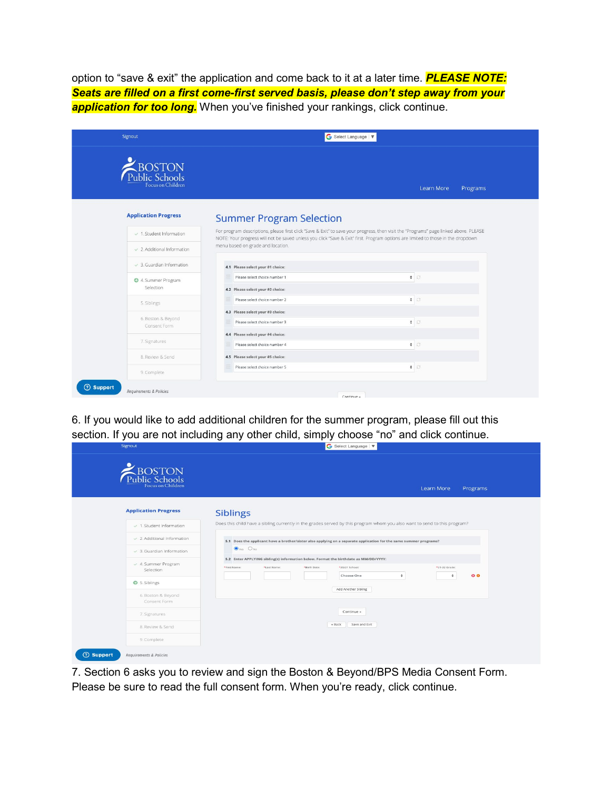option to "save & exit" the application and come back to it at a later time. *PLEASE NOTE: Seats are filled on a first come-first served basis, please don't step away from your*  **application for too long.** When you've finished your rankings, click continue.

| Learn More<br>Programs<br><b>Summer Program Selection</b><br>For program descriptions, please first click "Save & Exit" to save your progress, then visit the "Programs" page linked above. PLEASE<br>NOTE: Your progress will not be saved unless you click "Save & Exit" first. Program options are limited to those in the dropdown<br>menu based on grade and location. |
|-----------------------------------------------------------------------------------------------------------------------------------------------------------------------------------------------------------------------------------------------------------------------------------------------------------------------------------------------------------------------------|
|                                                                                                                                                                                                                                                                                                                                                                             |
|                                                                                                                                                                                                                                                                                                                                                                             |
|                                                                                                                                                                                                                                                                                                                                                                             |
|                                                                                                                                                                                                                                                                                                                                                                             |
| 4.1 Please select your #1 choice:                                                                                                                                                                                                                                                                                                                                           |
| Please select choice number 1<br>$\div$ 0                                                                                                                                                                                                                                                                                                                                   |
| 4.2 Please select your #2 choice:<br>Please select choice number 2<br>$\div$ 0                                                                                                                                                                                                                                                                                              |
| 4.3 Please select your #3 choice:                                                                                                                                                                                                                                                                                                                                           |
| $\div$<br>Please select choice number 3                                                                                                                                                                                                                                                                                                                                     |
| 4.4 Please select your #4 choice:                                                                                                                                                                                                                                                                                                                                           |
| $\div$<br>Please select choice number 4                                                                                                                                                                                                                                                                                                                                     |
| 4.5 Please select your #5 choice:                                                                                                                                                                                                                                                                                                                                           |
| $\div$<br>Please select choice number 5                                                                                                                                                                                                                                                                                                                                     |
|                                                                                                                                                                                                                                                                                                                                                                             |

6. If you would like to add additional children for the summer program, please fill out this section. If you are not including any other child, simply choose "no" and click continue.

| BOSTON<br>Public Schools<br>Focus on Children | Learn More<br>Programs                                                                                                                                                 |
|-----------------------------------------------|------------------------------------------------------------------------------------------------------------------------------------------------------------------------|
| <b>Application Progress</b>                   | <b>Siblings</b>                                                                                                                                                        |
| $\mathcal{L}$ 1. Student Information          | Does this child have a sibling currently in the grades served by this program whom you also want to send to this program?                                              |
| $\mathcal{L}$ 2. Additional Information       | 5.1 Does the applicant have a brother/sister also applying on a separate application for the same summer programs?                                                     |
| $\checkmark$ 3. Guardian Information          | $\bullet$ Yes $\circ$ No                                                                                                                                               |
| $\checkmark$ 4. Summer Program<br>Selection   | 5.2 Enter APPLYING sibling(s) information below. Format the birthdate as MM/DD/YYYY:<br>*First Name:<br>*Last Name:<br>*20/21 School:<br>*21-22 Grade:<br>*Birth Date: |
| S. Siblings                                   | $\div$<br>$\circ$<br>$\div$<br>Choose One                                                                                                                              |
| 6. Boston & Beyond<br>Consent Form            | Add Another Sibling                                                                                                                                                    |
| 7. Signatures                                 | Continue »                                                                                                                                                             |
|                                               | $e$ Back<br>Save and Exit                                                                                                                                              |

7. Section 6 asks you to review and sign the Boston & Beyond/BPS Media Consent Form. Please be sure to read the full consent form. When you're ready, click continue.